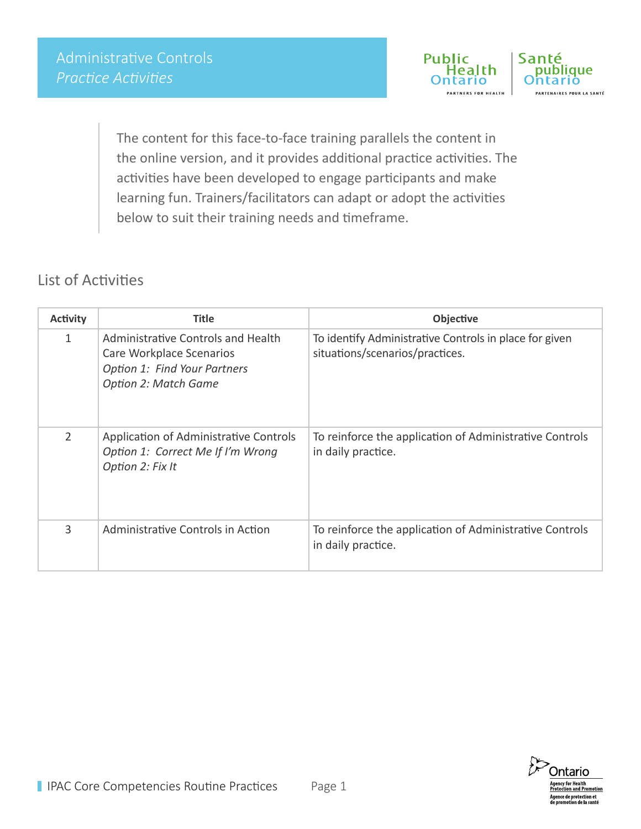

The content for this face-to-face training parallels the content in the online version, and it provides additional practice activities. The activities have been developed to engage participants and make learning fun. Trainers/facilitators can adapt or adopt the activities below to suit their training needs and timeframe.

## List of Activities

| <b>Activity</b> | <b>Title</b>                                                                                                                  | Objective                                                                                 |
|-----------------|-------------------------------------------------------------------------------------------------------------------------------|-------------------------------------------------------------------------------------------|
| 1               | Administrative Controls and Health<br>Care Workplace Scenarios<br>Option 1: Find Your Partners<br><b>Option 2: Match Game</b> | To identify Administrative Controls in place for given<br>situations/scenarios/practices. |
| $\overline{2}$  | Application of Administrative Controls<br>Option 1: Correct Me If I'm Wrong<br>Option 2: Fix It                               | To reinforce the application of Administrative Controls<br>in daily practice.             |
| 3               | Administrative Controls in Action                                                                                             | To reinforce the application of Administrative Controls<br>in daily practice.             |

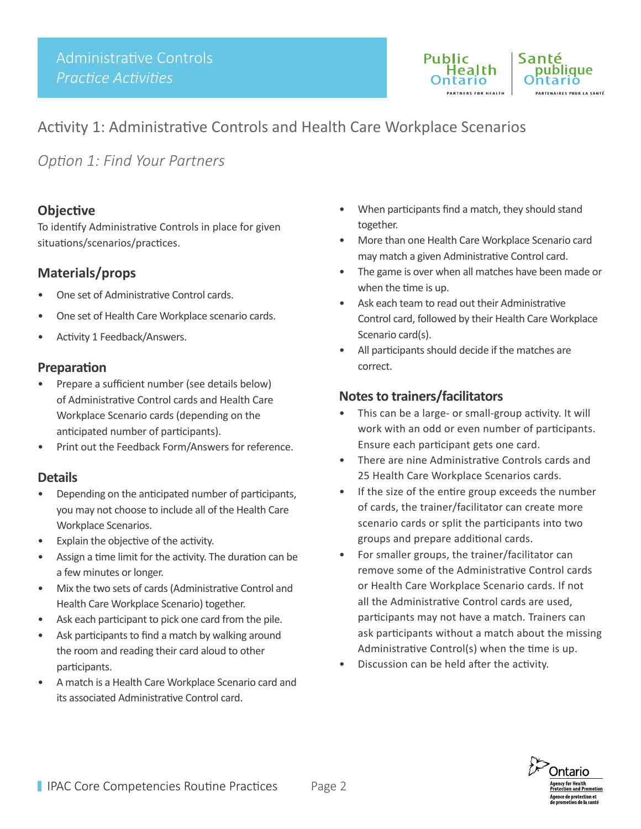

## Activity 1: Administrative Controls and Health Care Workplace Scenarios

*Option 1: Find Your Partners* 

#### **Objective**

To identify Administrative Controls in place for given situations/scenarios/practices.

## **Materials/props**

- One set of Administrative Control cards.
- One set of Health Care Workplace scenario cards.
- Activity 1 Feedback/Answers.

#### **Preparation**

- Prepare a sufficient number (see details below) of Administrative Control cards and Health Care Workplace Scenario cards (depending on the anticipated number of participants).
- Print out the Feedback Form/Answers for reference.

### **Details**

- Depending on the anticipated number of participants, you may not choose to include all of the Health Care Workplace Scenarios.
- Explain the objective of the activity.
- Assign a time limit for the activity. The duration can be a few minutes or longer.
- Mix the two sets of cards (Administrative Control and Health Care Workplace Scenario) together.
- Ask each participant to pick one card from the pile.
- Ask participants to find a match by walking around the room and reading their card aloud to other participants.
- A match is a Health Care Workplace Scenario card and its associated Administrative Control card.
- When participants find a match, they should stand together.
- More than one Health Care Workplace Scenario card may match a given Administrative Control card.
- The game is over when all matches have been made or when the time is up.
- Ask each team to read out their Administrative Control card, followed by their Health Care Workplace Scenario card(s).
- All participants should decide if the matches are correct.

- This can be a large- or small-group activity. It will work with an odd or even number of participants. Ensure each participant gets one card.
- There are nine Administrative Controls cards and 25 Health Care Workplace Scenarios cards.
- If the size of the entire group exceeds the number of cards, the trainer/facilitator can create more scenario cards or split the participants into two groups and prepare additional cards.
- For smaller groups, the trainer/facilitator can remove some of the Administrative Control cards or Health Care Workplace Scenario cards. If not all the Administrative Control cards are used, participants may not have a match. Trainers can ask participants without a match about the missing Administrative Control(s) when the time is up.
- Discussion can be held after the activity.

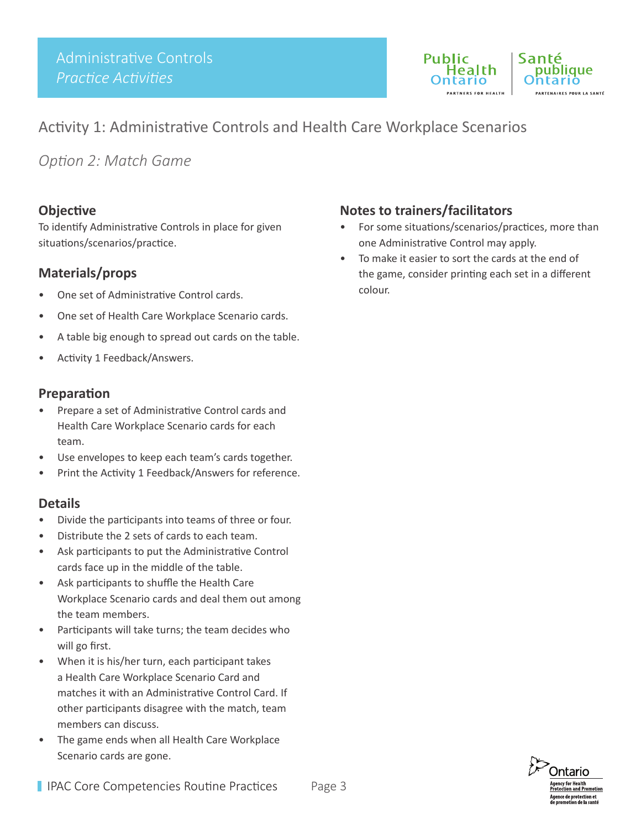

## Activity 1: Administrative Controls and Health Care Workplace Scenarios

*Option 2: Match Game*

#### **Objective**

To identify Administrative Controls in place for given situations/scenarios/practice.

#### **Materials/props**

- One set of Administrative Control cards.
- One set of Health Care Workplace Scenario cards.
- A table big enough to spread out cards on the table.
- Activity 1 Feedback/Answers.

#### **Preparation**

- Prepare a set of Administrative Control cards and Health Care Workplace Scenario cards for each team.
- Use envelopes to keep each team's cards together.
- Print the Activity 1 Feedback/Answers for reference.

#### **Details**

- Divide the participants into teams of three or four.
- Distribute the 2 sets of cards to each team.
- Ask participants to put the Administrative Control cards face up in the middle of the table.
- Ask participants to shuffle the Health Care Workplace Scenario cards and deal them out among the team members.
- Participants will take turns; the team decides who will go first.
- When it is his/her turn, each participant takes a Health Care Workplace Scenario Card and matches it with an Administrative Control Card. If other participants disagree with the match, team members can discuss.
- The game ends when all Health Care Workplace Scenario cards are gone.

- For some situations/scenarios/practices, more than one Administrative Control may apply.
- To make it easier to sort the cards at the end of the game, consider printing each set in a different colour.

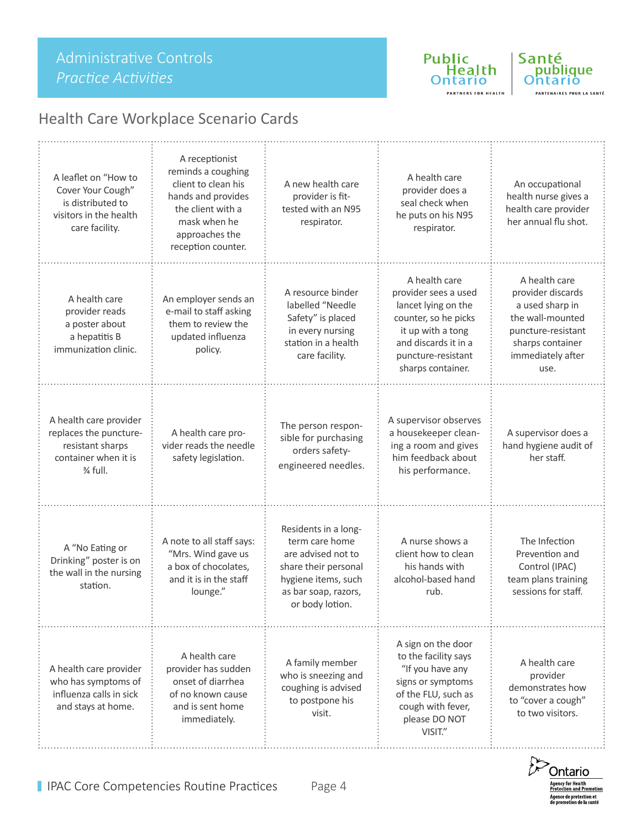

PARTNERS FOR HEALTH

Santé<br>publique ntario PARTENAIRES POUR LA SANTÉ

# Health Care Workplace Scenario Cards

| A leaflet on "How to<br>Cover Your Cough"<br>is distributed to<br>visitors in the health<br>care facility. | A receptionist<br>reminds a coughing<br>client to clean his<br>hands and provides<br>the client with a<br>mask when he<br>approaches the<br>reception counter. | A new health care<br>provider is fit-<br>tested with an N95<br>respirator.                                                                             | A health care<br>provider does a<br>seal check when<br>he puts on his N95<br>respirator.                                                                                     | An occupational<br>health nurse gives a<br>health care provider<br>her annual flu shot.                                                          |
|------------------------------------------------------------------------------------------------------------|----------------------------------------------------------------------------------------------------------------------------------------------------------------|--------------------------------------------------------------------------------------------------------------------------------------------------------|------------------------------------------------------------------------------------------------------------------------------------------------------------------------------|--------------------------------------------------------------------------------------------------------------------------------------------------|
| A health care<br>provider reads<br>a poster about<br>a hepatitis B<br>immunization clinic.                 | An employer sends an<br>e-mail to staff asking<br>them to review the<br>updated influenza<br>policy.                                                           | A resource binder<br>labelled "Needle<br>Safety" is placed<br>in every nursing<br>station in a health<br>care facility.                                | A health care<br>provider sees a used<br>lancet lying on the<br>counter, so he picks<br>it up with a tong<br>and discards it in a<br>puncture-resistant<br>sharps container. | A health care<br>provider discards<br>a used sharp in<br>the wall-mounted<br>puncture-resistant<br>sharps container<br>immediately after<br>use. |
| A health care provider<br>replaces the puncture-<br>resistant sharps<br>container when it is<br>3⁄4 full.  | A health care pro-<br>vider reads the needle<br>safety legislation.                                                                                            | The person respon-<br>sible for purchasing<br>orders safety-<br>engineered needles.                                                                    | A supervisor observes<br>a housekeeper clean-<br>ing a room and gives<br>him feedback about<br>his performance.                                                              | A supervisor does a<br>hand hygiene audit of<br>her staff.                                                                                       |
| A "No Eating or<br>Drinking" poster is on<br>the wall in the nursing<br>station.                           | A note to all staff says:<br>"Mrs. Wind gave us<br>a box of chocolates,<br>and it is in the staff<br>lounge."                                                  | Residents in a long-<br>term care home<br>are advised not to<br>share their personal<br>hygiene items, such<br>as bar soap, razors,<br>or body lotion. | A nurse shows a<br>client how to clean<br>his hands with<br>alcohol-based hand<br>rub.                                                                                       | The Infection<br>Prevention and<br>Control (IPAC)<br>team plans training<br>sessions for staff.                                                  |
| A health care provider<br>who has symptoms of<br>influenza calls in sick<br>and stays at home.             | A health care<br>provider has sudden<br>onset of diarrhea<br>of no known cause<br>and is sent home<br>immediately.                                             | A family member<br>who is sneezing and<br>coughing is advised<br>to postpone his<br>visit.                                                             | A sign on the door<br>to the facility says<br>"If you have any<br>signs or symptoms<br>of the FLU, such as<br>cough with fever,<br>please DO NOT<br>VISIT."                  | A health care<br>provider<br>demonstrates how<br>to "cover a cough"<br>to two visitors.                                                          |

**Ontario** Agency for Health<br>Protection and Promotion Agence de protection et<br>de promotion de la santé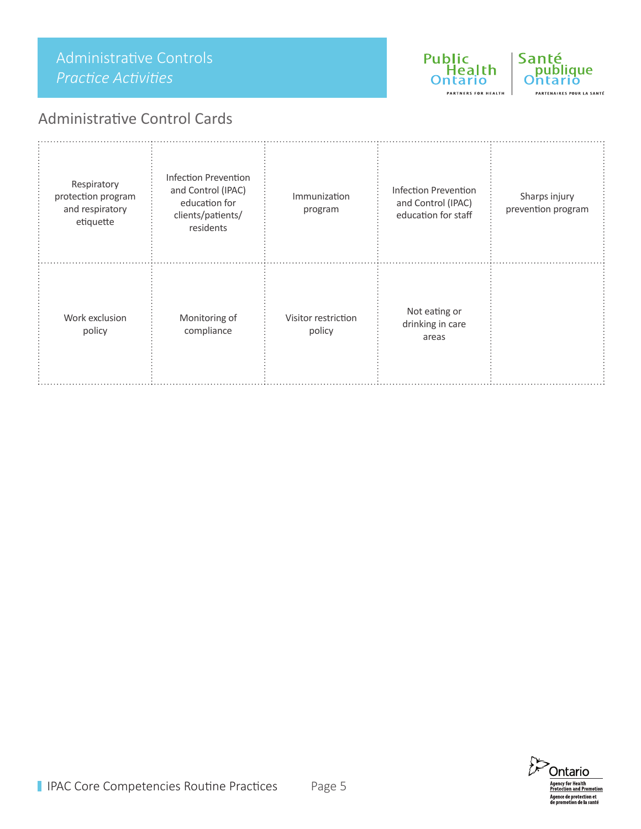## Administrative Controls *Practice Activities*

## Administrative Control Cards



Public

Health

**PARTNERS FOR HEALTH** 

ntariol

Santé

publique

arió .<br>PARTENAIRES POUR LA SANTÉ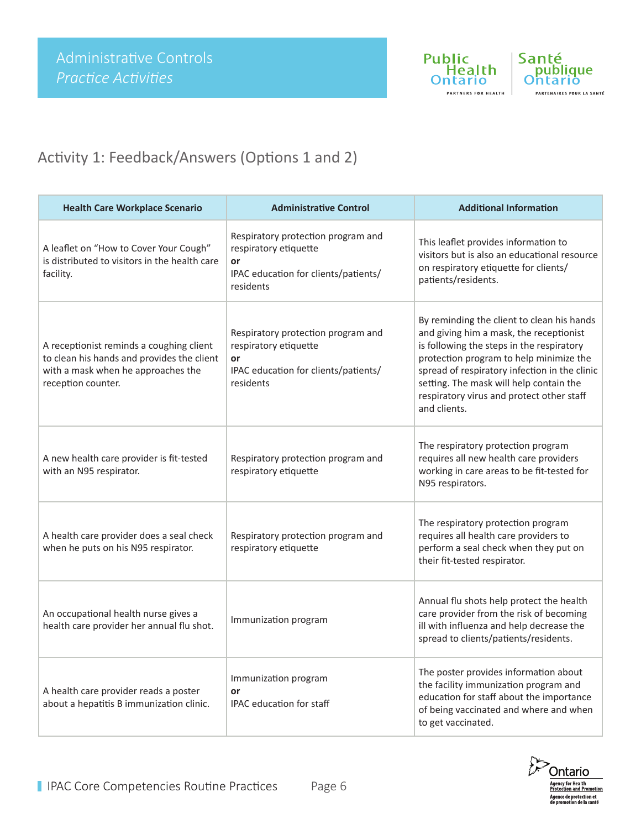



# Activity 1: Feedback/Answers (Options 1 and 2)

| <b>Health Care Workplace Scenario</b>                                                                                                              | <b>Administrative Control</b>                                                                                          | <b>Additional Information</b>                                                                                                                                                                                                                                                                                                          |
|----------------------------------------------------------------------------------------------------------------------------------------------------|------------------------------------------------------------------------------------------------------------------------|----------------------------------------------------------------------------------------------------------------------------------------------------------------------------------------------------------------------------------------------------------------------------------------------------------------------------------------|
| A leaflet on "How to Cover Your Cough"<br>is distributed to visitors in the health care<br>facility.                                               | Respiratory protection program and<br>respiratory etiquette<br>or<br>IPAC education for clients/patients/<br>residents | This leaflet provides information to<br>visitors but is also an educational resource<br>on respiratory etiquette for clients/<br>patients/residents.                                                                                                                                                                                   |
| A receptionist reminds a coughing client<br>to clean his hands and provides the client<br>with a mask when he approaches the<br>reception counter. | Respiratory protection program and<br>respiratory etiquette<br>or<br>IPAC education for clients/patients/<br>residents | By reminding the client to clean his hands<br>and giving him a mask, the receptionist<br>is following the steps in the respiratory<br>protection program to help minimize the<br>spread of respiratory infection in the clinic<br>setting. The mask will help contain the<br>respiratory virus and protect other staff<br>and clients. |
| A new health care provider is fit-tested<br>with an N95 respirator.                                                                                | Respiratory protection program and<br>respiratory etiquette                                                            | The respiratory protection program<br>requires all new health care providers<br>working in care areas to be fit-tested for<br>N95 respirators.                                                                                                                                                                                         |
| A health care provider does a seal check<br>when he puts on his N95 respirator.                                                                    | Respiratory protection program and<br>respiratory etiquette                                                            | The respiratory protection program<br>requires all health care providers to<br>perform a seal check when they put on<br>their fit-tested respirator.                                                                                                                                                                                   |
| An occupational health nurse gives a<br>health care provider her annual flu shot.                                                                  | Immunization program                                                                                                   | Annual flu shots help protect the health<br>care provider from the risk of becoming<br>ill with influenza and help decrease the<br>spread to clients/patients/residents.                                                                                                                                                               |
| A health care provider reads a poster<br>about a hepatitis B immunization clinic.                                                                  | Immunization program<br>or<br><b>IPAC</b> education for staff                                                          | The poster provides information about<br>the facility immunization program and<br>education for staff about the importance<br>of being vaccinated and where and when<br>to get vaccinated.                                                                                                                                             |

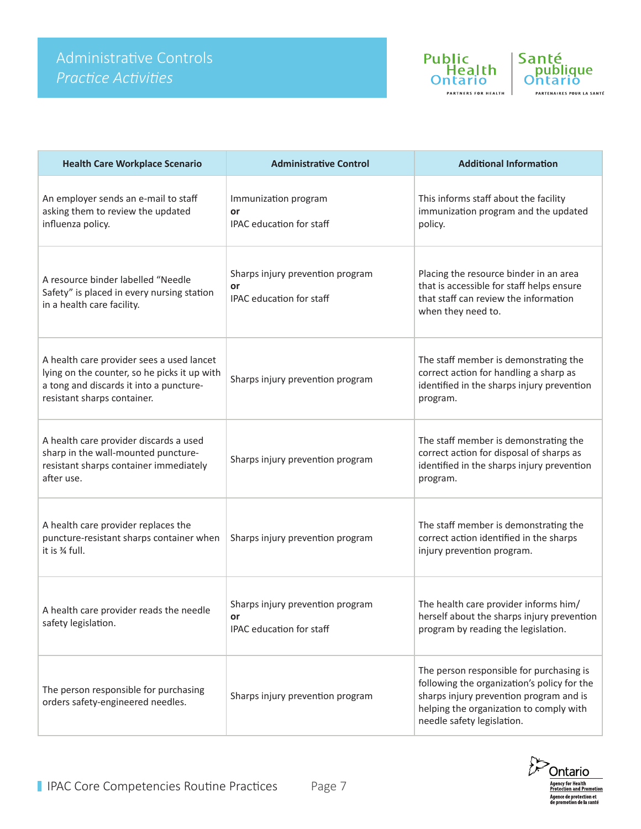



| <b>Health Care Workplace Scenario</b>                                                                                                                               | <b>Administrative Control</b>                                      | <b>Additional Information</b>                                                                                                                                                                               |
|---------------------------------------------------------------------------------------------------------------------------------------------------------------------|--------------------------------------------------------------------|-------------------------------------------------------------------------------------------------------------------------------------------------------------------------------------------------------------|
| An employer sends an e-mail to staff<br>asking them to review the updated<br>influenza policy.                                                                      | Immunization program<br>or<br>IPAC education for staff             | This informs staff about the facility<br>immunization program and the updated<br>policy.                                                                                                                    |
| A resource binder labelled "Needle<br>Safety" is placed in every nursing station<br>in a health care facility.                                                      | Sharps injury prevention program<br>or<br>IPAC education for staff | Placing the resource binder in an area<br>that is accessible for staff helps ensure<br>that staff can review the information<br>when they need to.                                                          |
| A health care provider sees a used lancet<br>lying on the counter, so he picks it up with<br>a tong and discards it into a puncture-<br>resistant sharps container. | Sharps injury prevention program                                   | The staff member is demonstrating the<br>correct action for handling a sharp as<br>identified in the sharps injury prevention<br>program.                                                                   |
| A health care provider discards a used<br>sharp in the wall-mounted puncture-<br>resistant sharps container immediately<br>after use.                               | Sharps injury prevention program                                   | The staff member is demonstrating the<br>correct action for disposal of sharps as<br>identified in the sharps injury prevention<br>program.                                                                 |
| A health care provider replaces the<br>puncture-resistant sharps container when<br>it is % full.                                                                    | Sharps injury prevention program                                   | The staff member is demonstrating the<br>correct action identified in the sharps<br>injury prevention program.                                                                                              |
| A health care provider reads the needle<br>safety legislation.                                                                                                      | Sharps injury prevention program<br>or<br>IPAC education for staff | The health care provider informs him/<br>herself about the sharps injury prevention<br>program by reading the legislation.                                                                                  |
| The person responsible for purchasing<br>orders safety-engineered needles.                                                                                          | Sharps injury prevention program                                   | The person responsible for purchasing is<br>following the organization's policy for the<br>sharps injury prevention program and is<br>helping the organization to comply with<br>needle safety legislation. |

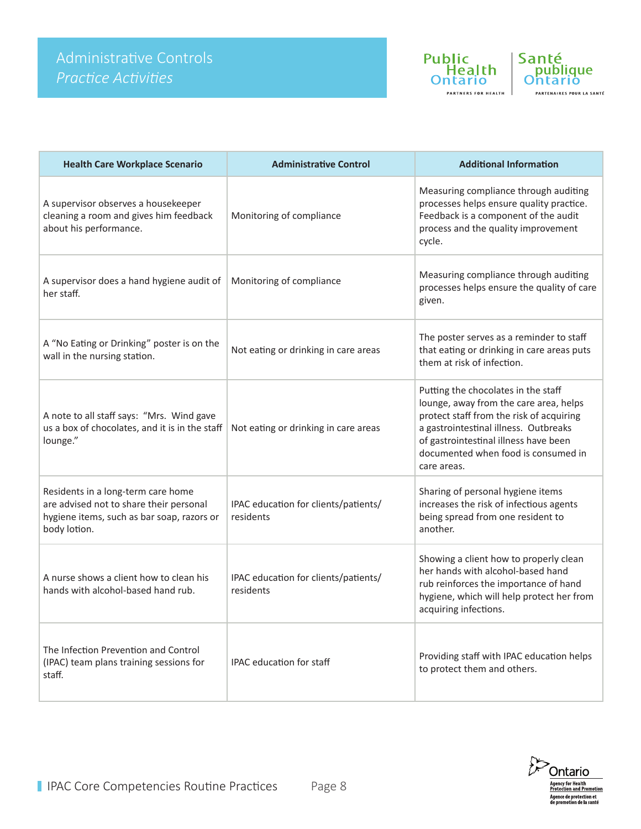



| <b>Health Care Workplace Scenario</b>                                                                                                       | <b>Administrative Control</b>                     | <b>Additional Information</b>                                                                                                                                                                                                                                     |
|---------------------------------------------------------------------------------------------------------------------------------------------|---------------------------------------------------|-------------------------------------------------------------------------------------------------------------------------------------------------------------------------------------------------------------------------------------------------------------------|
| A supervisor observes a housekeeper<br>cleaning a room and gives him feedback<br>about his performance.                                     | Monitoring of compliance                          | Measuring compliance through auditing<br>processes helps ensure quality practice.<br>Feedback is a component of the audit<br>process and the quality improvement<br>cycle.                                                                                        |
| A supervisor does a hand hygiene audit of<br>her staff.                                                                                     | Monitoring of compliance                          | Measuring compliance through auditing<br>processes helps ensure the quality of care<br>given.                                                                                                                                                                     |
| A "No Eating or Drinking" poster is on the<br>wall in the nursing station.                                                                  | Not eating or drinking in care areas              | The poster serves as a reminder to staff<br>that eating or drinking in care areas puts<br>them at risk of infection.                                                                                                                                              |
| A note to all staff says: "Mrs. Wind gave<br>us a box of chocolates, and it is in the staff<br>lounge."                                     | Not eating or drinking in care areas              | Putting the chocolates in the staff<br>lounge, away from the care area, helps<br>protect staff from the risk of acquiring<br>a gastrointestinal illness. Outbreaks<br>of gastrointestinal illness have been<br>documented when food is consumed in<br>care areas. |
| Residents in a long-term care home<br>are advised not to share their personal<br>hygiene items, such as bar soap, razors or<br>body lotion. | IPAC education for clients/patients/<br>residents | Sharing of personal hygiene items<br>increases the risk of infectious agents<br>being spread from one resident to<br>another.                                                                                                                                     |
| A nurse shows a client how to clean his<br>hands with alcohol-based hand rub.                                                               | IPAC education for clients/patients/<br>residents | Showing a client how to properly clean<br>her hands with alcohol-based hand<br>rub reinforces the importance of hand<br>hygiene, which will help protect her from<br>acquiring infections.                                                                        |
| The Infection Prevention and Control<br>(IPAC) team plans training sessions for<br>staff.                                                   | <b>IPAC</b> education for staff                   | Providing staff with IPAC education helps<br>to protect them and others.                                                                                                                                                                                          |

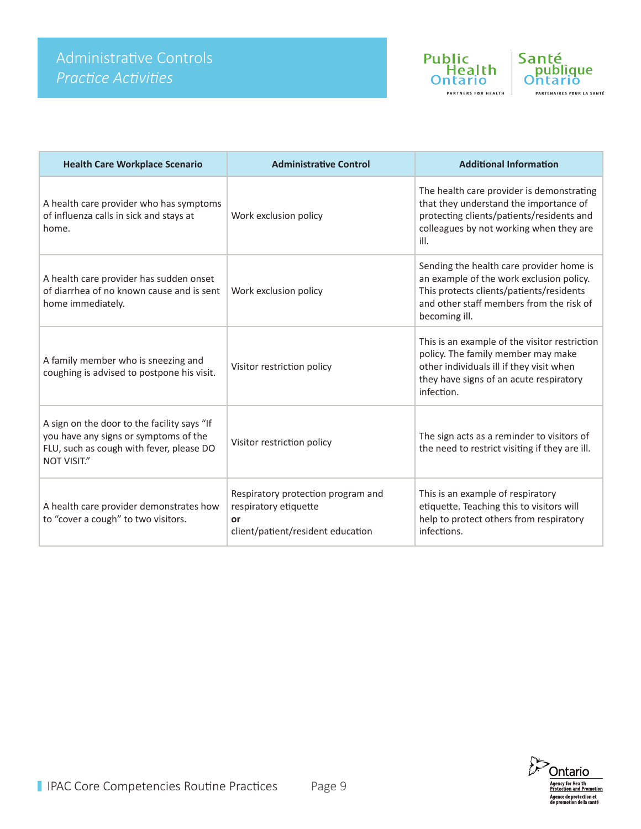



| <b>Health Care Workplace Scenario</b>                                                                                                                  | <b>Administrative Control</b>                                                                          | <b>Additional Information</b>                                                                                                                                                                 |
|--------------------------------------------------------------------------------------------------------------------------------------------------------|--------------------------------------------------------------------------------------------------------|-----------------------------------------------------------------------------------------------------------------------------------------------------------------------------------------------|
| A health care provider who has symptoms<br>of influenza calls in sick and stays at<br>home.                                                            | Work exclusion policy                                                                                  | The health care provider is demonstrating<br>that they understand the importance of<br>protecting clients/patients/residents and<br>colleagues by not working when they are<br>ill.           |
| A health care provider has sudden onset<br>of diarrhea of no known cause and is sent<br>home immediately.                                              | Work exclusion policy                                                                                  | Sending the health care provider home is<br>an example of the work exclusion policy.<br>This protects clients/patients/residents<br>and other staff members from the risk of<br>becoming ill. |
| A family member who is sneezing and<br>coughing is advised to postpone his visit.                                                                      | Visitor restriction policy                                                                             | This is an example of the visitor restriction<br>policy. The family member may make<br>other individuals ill if they visit when<br>they have signs of an acute respiratory<br>infection.      |
| A sign on the door to the facility says "If<br>you have any signs or symptoms of the<br>FLU, such as cough with fever, please DO<br><b>NOT VISIT."</b> | Visitor restriction policy                                                                             | The sign acts as a reminder to visitors of<br>the need to restrict visiting if they are ill.                                                                                                  |
| A health care provider demonstrates how<br>to "cover a cough" to two visitors.                                                                         | Respiratory protection program and<br>respiratory etiquette<br>or<br>client/patient/resident education | This is an example of respiratory<br>etiquette. Teaching this to visitors will<br>help to protect others from respiratory<br>infections.                                                      |

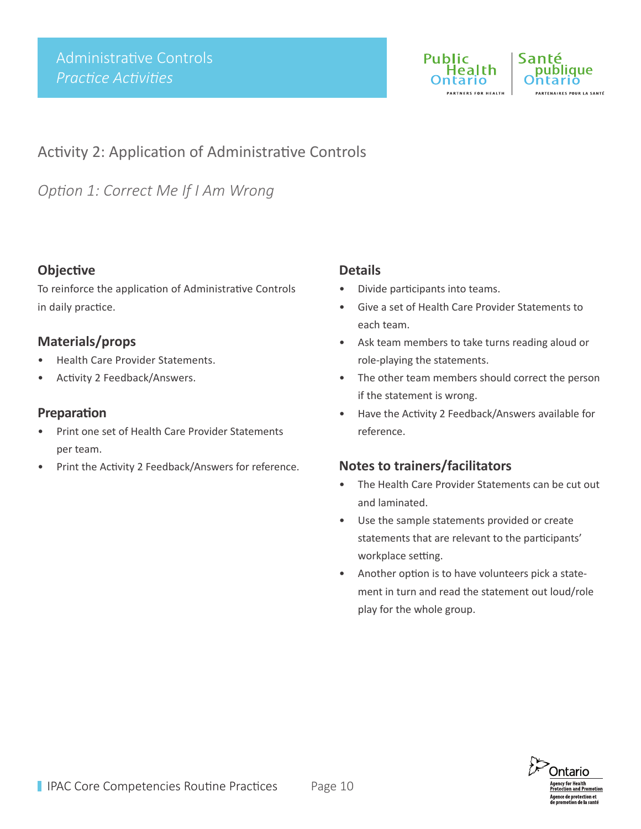

Santé blique .<br>RTENAIRES POUR LA SANTÉ

# Activity 2: Application of Administrative Controls

*Option 1: Correct Me If I Am Wrong* 

### **Objective**

To reinforce the application of Administrative Controls in daily practice.

### **Materials/props**

- Health Care Provider Statements.
- Activity 2 Feedback/Answers.

#### **Preparation**

- Print one set of Health Care Provider Statements per team.
- Print the Activity 2 Feedback/Answers for reference.

#### **Details**

- Divide participants into teams.
- Give a set of Health Care Provider Statements to each team.
- Ask team members to take turns reading aloud or role-playing the statements.
- The other team members should correct the person if the statement is wrong.
- Have the Activity 2 Feedback/Answers available for reference.

- The Health Care Provider Statements can be cut out and laminated.
- Use the sample statements provided or create statements that are relevant to the participants' workplace setting.
- Another option is to have volunteers pick a statement in turn and read the statement out loud/role play for the whole group.

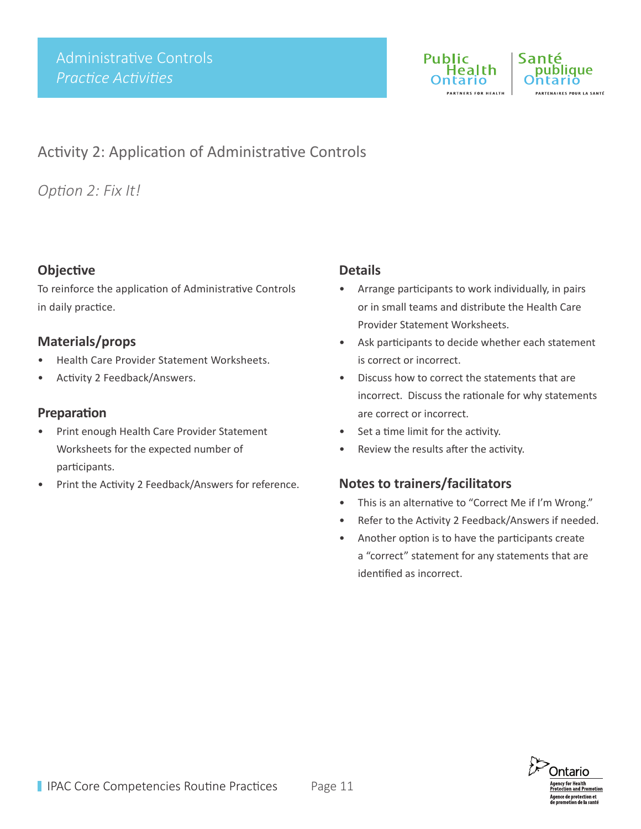



# Activity 2: Application of Administrative Controls

*Option 2: Fix It!* 

## **Objective**

To reinforce the application of Administrative Controls in daily practice.

### **Materials/props**

- Health Care Provider Statement Worksheets.
- Activity 2 Feedback/Answers.

#### **Preparation**

- Print enough Health Care Provider Statement Worksheets for the expected number of participants.
- Print the Activity 2 Feedback/Answers for reference.

#### **Details**

- Arrange participants to work individually, in pairs or in small teams and distribute the Health Care Provider Statement Worksheets.
- Ask participants to decide whether each statement is correct or incorrect.
- Discuss how to correct the statements that are incorrect. Discuss the rationale for why statements are correct or incorrect.
- Set a time limit for the activity.
- Review the results after the activity.

- This is an alternative to "Correct Me if I'm Wrong."
- Refer to the Activity 2 Feedback/Answers if needed.
- Another option is to have the participants create a "correct" statement for any statements that are identified as incorrect.

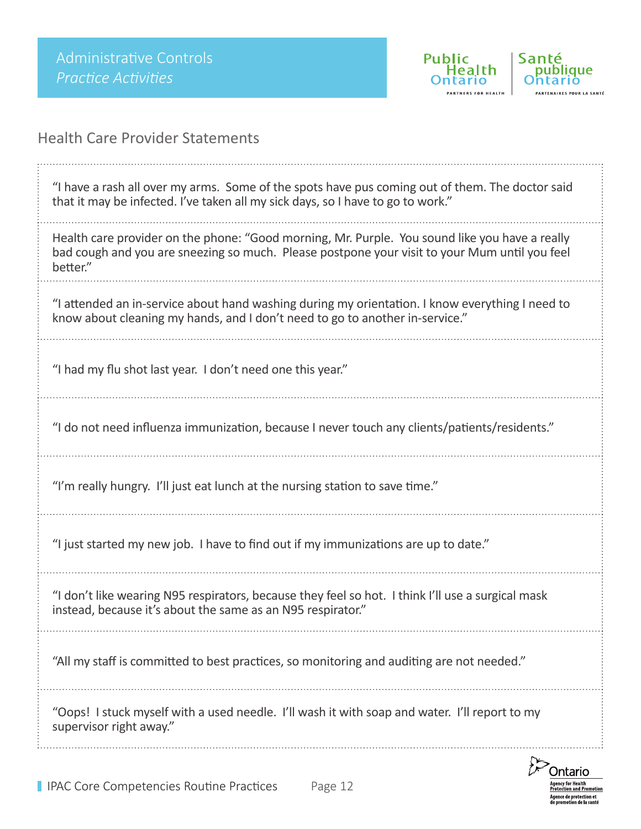

Health Care Provider Statements

| "I have a rash all over my arms. Some of the spots have pus coming out of them. The doctor said<br>that it may be infected. I've taken all my sick days, so I have to go to work."                          |
|-------------------------------------------------------------------------------------------------------------------------------------------------------------------------------------------------------------|
| Health care provider on the phone: "Good morning, Mr. Purple. You sound like you have a really<br>bad cough and you are sneezing so much. Please postpone your visit to your Mum until you feel<br>better." |
| "I attended an in-service about hand washing during my orientation. I know everything I need to<br>know about cleaning my hands, and I don't need to go to another in-service."                             |
| "I had my flu shot last year. I don't need one this year."                                                                                                                                                  |
| "I do not need influenza immunization, because I never touch any clients/patients/residents."                                                                                                               |
| "I'm really hungry. I'll just eat lunch at the nursing station to save time."                                                                                                                               |
| "I just started my new job. I have to find out if my immunizations are up to date."                                                                                                                         |
| "I don't like wearing N95 respirators, because they feel so hot. I think I'll use a surgical mask<br>instead, because it's about the same as an N95 respirator."                                            |
| "All my staff is committed to best practices, so monitoring and auditing are not needed."                                                                                                                   |
| "Oops! I stuck myself with a used needle. I'll wash it with soap and water. I'll report to my<br>supervisor right away."                                                                                    |
|                                                                                                                                                                                                             |

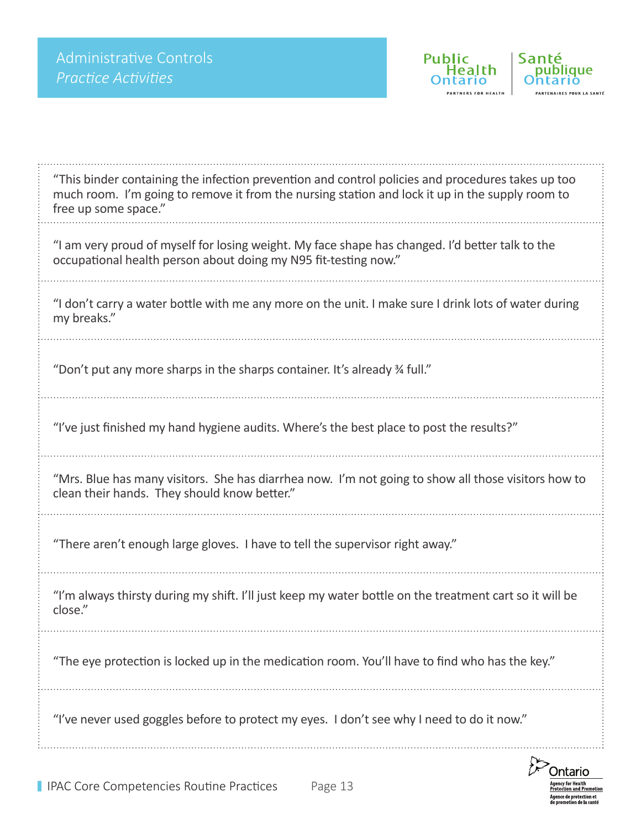

**Public** 

Health

ario

Santé

bliaue

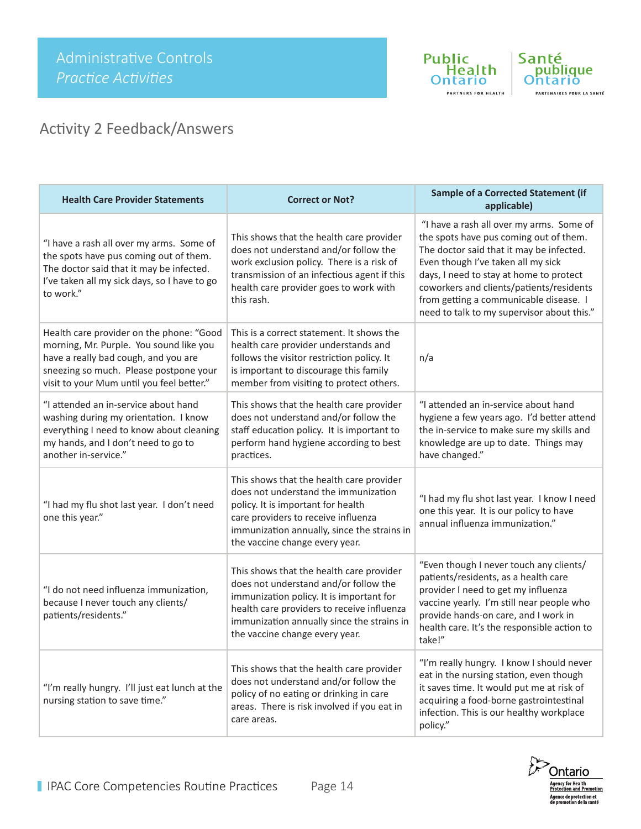



# Activity 2 Feedback/Answers

| <b>Health Care Provider Statements</b>                                                                                                                                                                             | <b>Correct or Not?</b>                                                                                                                                                                                                                                      | <b>Sample of a Corrected Statement (if</b><br>applicable)                                                                                                                                                                                                                                                                                           |
|--------------------------------------------------------------------------------------------------------------------------------------------------------------------------------------------------------------------|-------------------------------------------------------------------------------------------------------------------------------------------------------------------------------------------------------------------------------------------------------------|-----------------------------------------------------------------------------------------------------------------------------------------------------------------------------------------------------------------------------------------------------------------------------------------------------------------------------------------------------|
| "I have a rash all over my arms. Some of<br>the spots have pus coming out of them.<br>The doctor said that it may be infected.<br>I've taken all my sick days, so I have to go<br>to work."                        | This shows that the health care provider<br>does not understand and/or follow the<br>work exclusion policy. There is a risk of<br>transmission of an infectious agent if this<br>health care provider goes to work with<br>this rash.                       | "I have a rash all over my arms. Some of<br>the spots have pus coming out of them.<br>The doctor said that it may be infected.<br>Even though I've taken all my sick<br>days, I need to stay at home to protect<br>coworkers and clients/patients/residents<br>from getting a communicable disease. I<br>need to talk to my supervisor about this." |
| Health care provider on the phone: "Good<br>morning, Mr. Purple. You sound like you<br>have a really bad cough, and you are<br>sneezing so much. Please postpone your<br>visit to your Mum until you feel better." | This is a correct statement. It shows the<br>health care provider understands and<br>follows the visitor restriction policy. It<br>is important to discourage this family<br>member from visiting to protect others.                                        | n/a                                                                                                                                                                                                                                                                                                                                                 |
| "I attended an in-service about hand<br>washing during my orientation. I know<br>everything I need to know about cleaning<br>my hands, and I don't need to go to<br>another in-service."                           | This shows that the health care provider<br>does not understand and/or follow the<br>staff education policy. It is important to<br>perform hand hygiene according to best<br>practices.                                                                     | "I attended an in-service about hand<br>hygiene a few years ago. I'd better attend<br>the in-service to make sure my skills and<br>knowledge are up to date. Things may<br>have changed."                                                                                                                                                           |
| "I had my flu shot last year. I don't need<br>one this year."                                                                                                                                                      | This shows that the health care provider<br>does not understand the immunization<br>policy. It is important for health<br>care providers to receive influenza<br>immunization annually, since the strains in<br>the vaccine change every year.              | "I had my flu shot last year. I know I need<br>one this year. It is our policy to have<br>annual influenza immunization."                                                                                                                                                                                                                           |
| "I do not need influenza immunization,<br>because I never touch any clients/<br>patients/residents."                                                                                                               | This shows that the health care provider<br>does not understand and/or follow the<br>immunization policy. It is important for<br>health care providers to receive influenza<br>immunization annually since the strains in<br>the vaccine change every year. | "Even though I never touch any clients/<br>patients/residents, as a health care<br>provider I need to get my influenza<br>vaccine yearly. I'm still near people who<br>provide hands-on care, and I work in<br>health care. It's the responsible action to<br>take!"                                                                                |
| "I'm really hungry. I'll just eat lunch at the<br>nursing station to save time."                                                                                                                                   | This shows that the health care provider<br>does not understand and/or follow the<br>policy of no eating or drinking in care<br>areas. There is risk involved if you eat in<br>care areas.                                                                  | "I'm really hungry. I know I should never<br>eat in the nursing station, even though<br>it saves time. It would put me at risk of<br>acquiring a food-borne gastrointestinal<br>infection. This is our healthy workplace<br>policy."                                                                                                                |

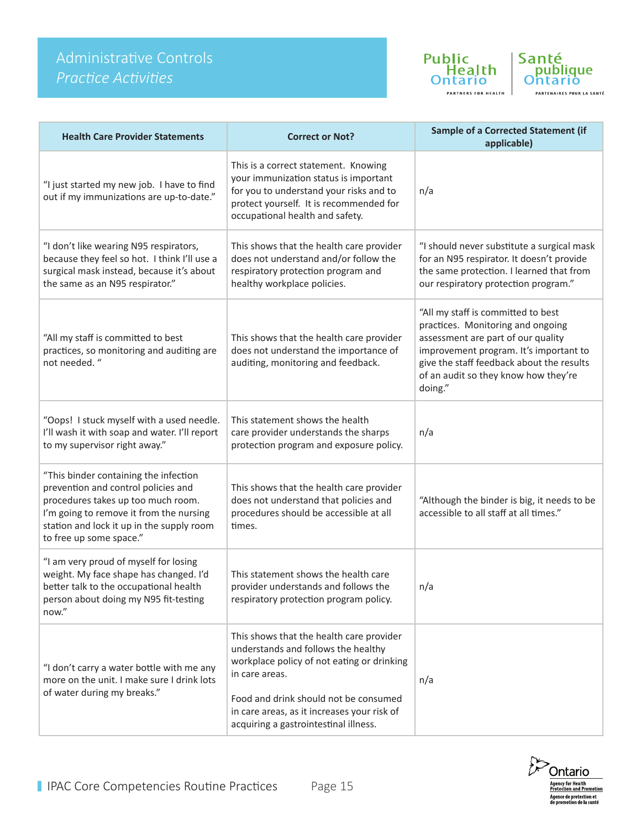# Administrative Controls *Practice Activities*





| <b>Health Care Provider Statements</b>                                                                                                                                                                                                | <b>Correct or Not?</b>                                                                                                                                                                                                                                                           | <b>Sample of a Corrected Statement (if</b><br>applicable)                                                                                                                                                                                               |
|---------------------------------------------------------------------------------------------------------------------------------------------------------------------------------------------------------------------------------------|----------------------------------------------------------------------------------------------------------------------------------------------------------------------------------------------------------------------------------------------------------------------------------|---------------------------------------------------------------------------------------------------------------------------------------------------------------------------------------------------------------------------------------------------------|
| "I just started my new job. I have to find<br>out if my immunizations are up-to-date."                                                                                                                                                | This is a correct statement. Knowing<br>your immunization status is important<br>for you to understand your risks and to<br>protect yourself. It is recommended for<br>occupational health and safety.                                                                           | n/a                                                                                                                                                                                                                                                     |
| "I don't like wearing N95 respirators,<br>because they feel so hot. I think I'll use a<br>surgical mask instead, because it's about<br>the same as an N95 respirator."                                                                | This shows that the health care provider<br>does not understand and/or follow the<br>respiratory protection program and<br>healthy workplace policies.                                                                                                                           | "I should never substitute a surgical mask<br>for an N95 respirator. It doesn't provide<br>the same protection. I learned that from<br>our respiratory protection program."                                                                             |
| "All my staff is committed to best<br>practices, so monitoring and auditing are<br>not needed. "                                                                                                                                      | This shows that the health care provider<br>does not understand the importance of<br>auditing, monitoring and feedback.                                                                                                                                                          | "All my staff is committed to best<br>practices. Monitoring and ongoing<br>assessment are part of our quality<br>improvement program. It's important to<br>give the staff feedback about the results<br>of an audit so they know how they're<br>doing." |
| "Oops! I stuck myself with a used needle.<br>I'll wash it with soap and water. I'll report<br>to my supervisor right away."                                                                                                           | This statement shows the health<br>care provider understands the sharps<br>protection program and exposure policy.                                                                                                                                                               | n/a                                                                                                                                                                                                                                                     |
| "This binder containing the infection<br>prevention and control policies and<br>procedures takes up too much room.<br>I'm going to remove it from the nursing<br>station and lock it up in the supply room<br>to free up some space." | This shows that the health care provider<br>does not understand that policies and<br>procedures should be accessible at all<br>times.                                                                                                                                            | "Although the binder is big, it needs to be<br>accessible to all staff at all times."                                                                                                                                                                   |
| "I am very proud of myself for losing<br>weight. My face shape has changed. I'd<br>better talk to the occupational health<br>person about doing my N95 fit-testing<br>now."                                                           | This statement shows the health care<br>provider understands and follows the<br>respiratory protection program policy.                                                                                                                                                           | n/a                                                                                                                                                                                                                                                     |
| "I don't carry a water bottle with me any<br>more on the unit. I make sure I drink lots<br>of water during my breaks."                                                                                                                | This shows that the health care provider<br>understands and follows the healthy<br>workplace policy of not eating or drinking<br>in care areas.<br>Food and drink should not be consumed<br>in care areas, as it increases your risk of<br>acquiring a gastrointestinal illness. | n/a                                                                                                                                                                                                                                                     |

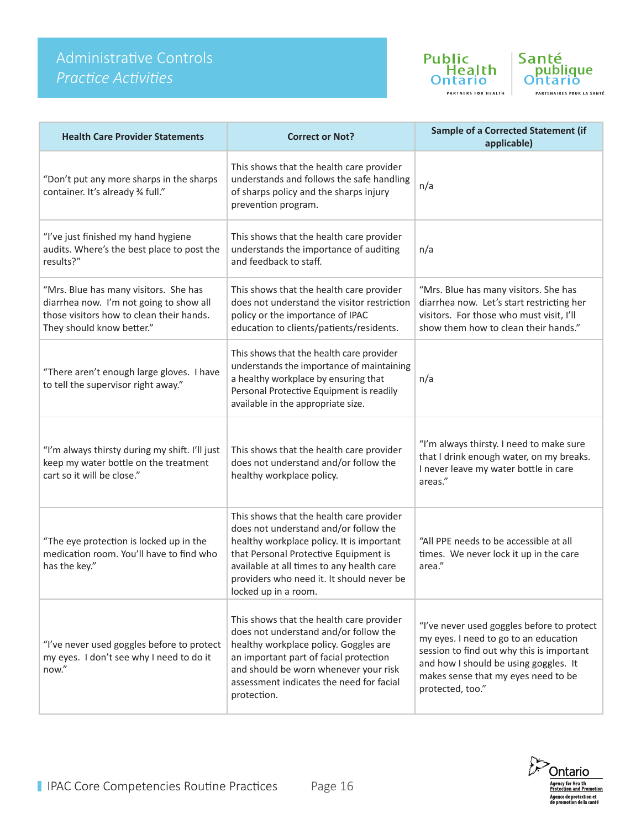# Administrative Controls *Practice Activities*





| <b>Health Care Provider Statements</b>                                                                                                                    | <b>Correct or Not?</b>                                                                                                                                                                                                                                                                    | <b>Sample of a Corrected Statement (if</b><br>applicable)                                                                                                                                                                            |
|-----------------------------------------------------------------------------------------------------------------------------------------------------------|-------------------------------------------------------------------------------------------------------------------------------------------------------------------------------------------------------------------------------------------------------------------------------------------|--------------------------------------------------------------------------------------------------------------------------------------------------------------------------------------------------------------------------------------|
| "Don't put any more sharps in the sharps<br>container. It's already % full."                                                                              | This shows that the health care provider<br>understands and follows the safe handling<br>of sharps policy and the sharps injury<br>prevention program.                                                                                                                                    | n/a                                                                                                                                                                                                                                  |
| "I've just finished my hand hygiene<br>audits. Where's the best place to post the<br>results?"                                                            | This shows that the health care provider<br>understands the importance of auditing<br>and feedback to staff.                                                                                                                                                                              | n/a                                                                                                                                                                                                                                  |
| "Mrs. Blue has many visitors. She has<br>diarrhea now. I'm not going to show all<br>those visitors how to clean their hands.<br>They should know better." | This shows that the health care provider<br>does not understand the visitor restriction<br>policy or the importance of IPAC<br>education to clients/patients/residents.                                                                                                                   | "Mrs. Blue has many visitors. She has<br>diarrhea now. Let's start restricting her<br>visitors. For those who must visit, I'll<br>show them how to clean their hands."                                                               |
| "There aren't enough large gloves. I have<br>to tell the supervisor right away."                                                                          | This shows that the health care provider<br>understands the importance of maintaining<br>a healthy workplace by ensuring that<br>Personal Protective Equipment is readily<br>available in the appropriate size.                                                                           | n/a                                                                                                                                                                                                                                  |
| "I'm always thirsty during my shift. I'll just<br>keep my water bottle on the treatment<br>cart so it will be close."                                     | This shows that the health care provider<br>does not understand and/or follow the<br>healthy workplace policy.                                                                                                                                                                            | "I'm always thirsty. I need to make sure<br>that I drink enough water, on my breaks.<br>I never leave my water bottle in care<br>areas."                                                                                             |
| "The eye protection is locked up in the<br>medication room. You'll have to find who<br>has the key."                                                      | This shows that the health care provider<br>does not understand and/or follow the<br>healthy workplace policy. It is important<br>that Personal Protective Equipment is<br>available at all times to any health care<br>providers who need it. It should never be<br>locked up in a room. | "All PPE needs to be accessible at all<br>times. We never lock it up in the care<br>area."                                                                                                                                           |
| "I've never used goggles before to protect<br>my eyes. I don't see why I need to do it<br>now."                                                           | This shows that the health care provider<br>does not understand and/or follow the<br>healthy workplace policy. Goggles are<br>an important part of facial protection<br>and should be worn whenever your risk<br>assessment indicates the need for facial<br>protection.                  | "I've never used goggles before to protect<br>my eyes. I need to go to an education<br>session to find out why this is important<br>and how I should be using goggles. It<br>makes sense that my eyes need to be<br>protected, too." |

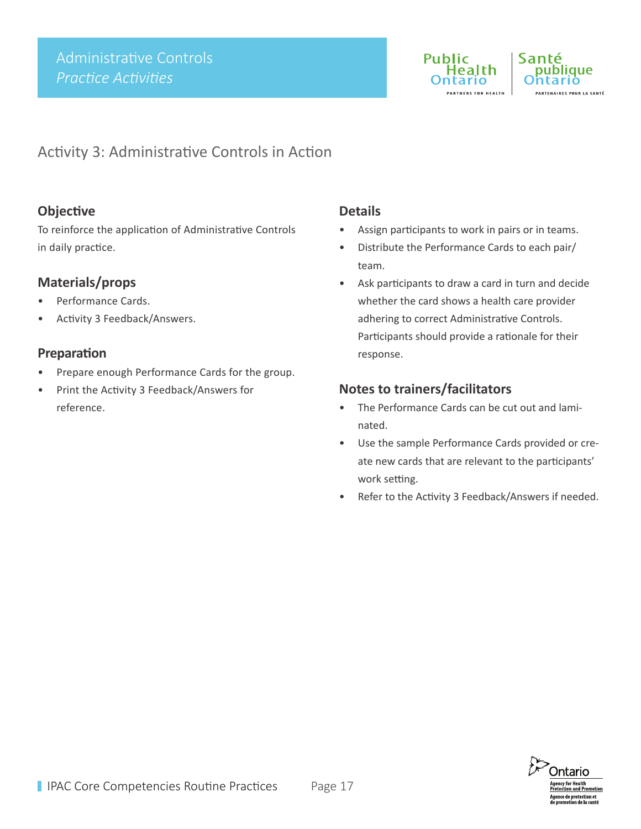

## publique .<br>ARTENAIRES POUR LA SANTÉ

## Activity 3: Administrative Controls in Action

### **Objective**

To reinforce the application of Administrative Controls in daily practice.

### **Materials/props**

- Performance Cards.
- Activity 3 Feedback/Answers.

#### **Preparation**

- Prepare enough Performance Cards for the group.
- Print the Activity 3 Feedback/Answers for reference.

### **Details**

- Assign participants to work in pairs or in teams.
- Distribute the Performance Cards to each pair/ team.
- Ask participants to draw a card in turn and decide whether the card shows a health care provider adhering to correct Administrative Controls. Participants should provide a rationale for their response.

- The Performance Cards can be cut out and laminated.
- Use the sample Performance Cards provided or create new cards that are relevant to the participants' work setting.
- Refer to the Activity 3 Feedback/Answers if needed.

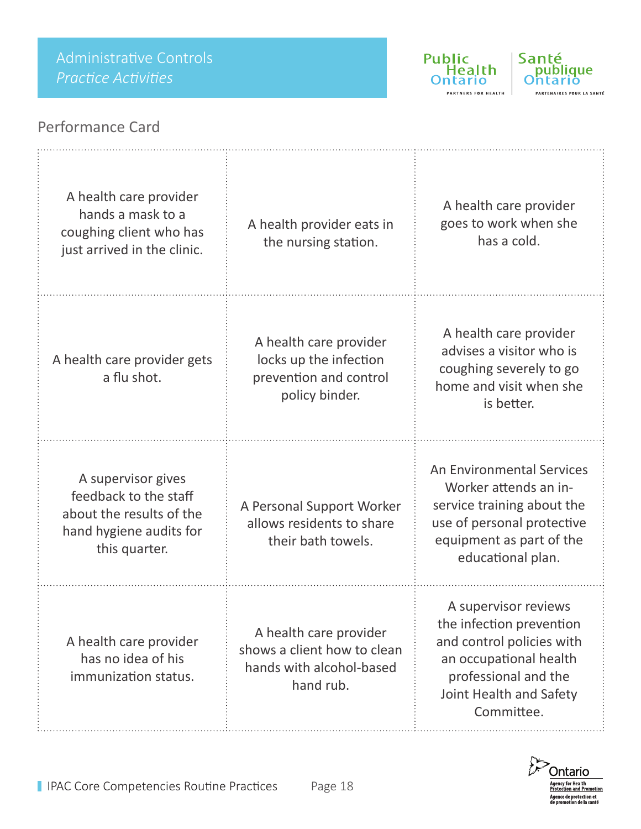



## Performance Card

| A health care provider<br>hands a mask to a<br>coughing client who has<br>just arrived in the clinic.               | A health provider eats in<br>the nursing station.                                              | A health care provider<br>goes to work when she<br>has a cold.                                                                                                           |
|---------------------------------------------------------------------------------------------------------------------|------------------------------------------------------------------------------------------------|--------------------------------------------------------------------------------------------------------------------------------------------------------------------------|
| A health care provider gets<br>a flu shot.                                                                          | A health care provider<br>locks up the infection<br>prevention and control<br>policy binder.   | A health care provider<br>advises a visitor who is<br>coughing severely to go<br>home and visit when she<br>is better.                                                   |
| A supervisor gives<br>feedback to the staff<br>about the results of the<br>hand hygiene audits for<br>this quarter. | A Personal Support Worker<br>allows residents to share<br>their bath towels.                   | An Environmental Services<br>Worker attends an in-<br>service training about the<br>use of personal protective<br>equipment as part of the<br>educational plan.          |
| A health care provider<br>has no idea of his<br>immunization status.                                                | A health care provider<br>shows a client how to clean<br>hands with alcohol-based<br>hand rub. | A supervisor reviews<br>the infection prevention<br>and control policies with<br>an occupational health<br>professional and the<br>Joint Health and Safety<br>Committee. |